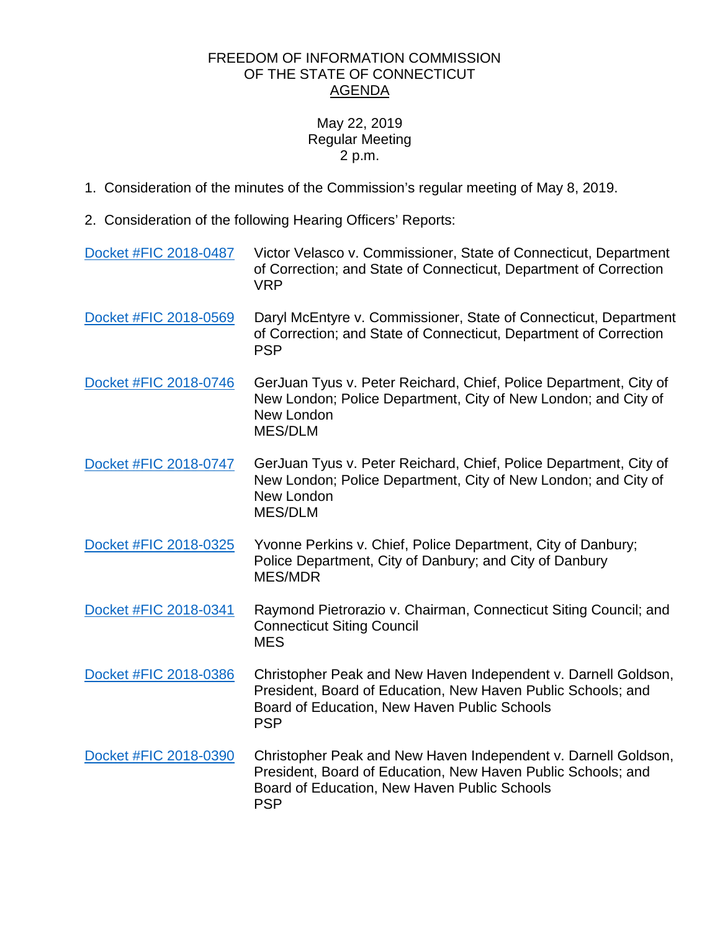## FREEDOM OF INFORMATION COMMISSION OF THE STATE OF CONNECTICUT AGENDA

## May 22, 2019 Regular Meeting 2 p.m.

- 1. Consideration of the minutes of the Commission's regular meeting of May 8, 2019.
- 2. Consideration of the following Hearing Officers' Reports:

[Docket #FIC 2018-0487](https://www.ct.gov/foi/lib/foi/agendas/2019/may22/2018-0487.pdf) Victor Velasco v. Commissioner, State of Connecticut, Department of Correction; and State of Connecticut, Department of Correction VRP [Docket #FIC 2018-0569](https://www.ct.gov/foi/lib/foi/agendas/2019/may22/2018-0569.pdf) Daryl McEntyre v. Commissioner, State of Connecticut, Department of Correction; and State of Connecticut, Department of Correction PSP [Docket #FIC 2018-0746](https://www.ct.gov/foi/lib/foi/agendas/2019/may22/2018-0746.pdf) GerJuan Tyus v. Peter Reichard, Chief, Police Department, City of New London; Police Department, City of New London; and City of New London MES/DLM [Docket #FIC 2018-0747](https://www.ct.gov/foi/lib/foi/agendas/2019/may22/2018-0747.pdf) GerJuan Tyus v. Peter Reichard, Chief, Police Department, City of New London; Police Department, City of New London; and City of New London MES/DLM [Docket #FIC 2018-0325](https://www.ct.gov/foi/lib/foi/agendas/2019/may22/2018-0325.pdf) Yvonne Perkins v. Chief, Police Department, City of Danbury; Police Department, City of Danbury; and City of Danbury MES/MDR [Docket #FIC 2018-0341](https://www.ct.gov/foi/lib/foi/agendas/2019/may22/2018-0341.pdf) Raymond Pietrorazio v. Chairman, Connecticut Siting Council; and Connecticut Siting Council MES [Docket #FIC 2018-0386](https://www.ct.gov/foi/lib/foi/agendas/2019/may22/2018-0386.pdf) Christopher Peak and New Haven Independent v. Darnell Goldson, President, Board of Education, New Haven Public Schools; and Board of Education, New Haven Public Schools PSP [Docket #FIC 2018-0390](https://www.ct.gov/foi/lib/foi/agendas/2019/may22/2018-0390.pdf) Christopher Peak and New Haven Independent v. Darnell Goldson, President, Board of Education, New Haven Public Schools; and Board of Education, New Haven Public Schools PSP